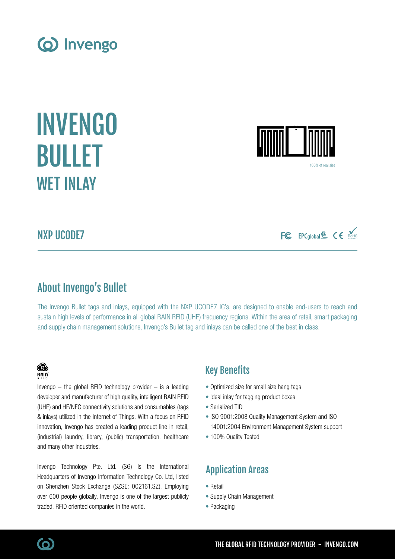# About Invengo's Bullet

The Invengo Bullet tags and inlays, equipped with the NXP UCODE7 IC's, are designed to enable end-users to reach and sustain high levels of performance in all global RAIN RFID (UHF) frequency regions. Within the area of retail, smart packaging and supply chain management solutions, Invengo's Bullet tag and inlays can be called one of the best in class.

## Key Benefits

- Optimized size for small size hang tags
- Ideal inlay for tagging product boxes
- Serialized TID
- ISO 9001:2008 Quality Management System and ISO 14001:2004 Environment Management System support
- 100% Quality Tested

# Application Areas

- Retail
- Supply Chain Management
- Packaging

Invengo  $-$  the global RFID technology provider  $-$  is a leading developer and manufacturer of high quality, intelligent RAIN RFID (UHF) and HF/NFC connectivity solutions and consumables (tags & inlays) utilized in the Internet of Things. With a focus on RFID innovation, Invengo has created a leading product line in retail, (industrial) laundry, library, (public) transportation, healthcare and many other industries.

Invengo Technology Pte. Ltd. (SG) is the International Headquarters of Invengo Information Technology Co. Ltd, listed on Shenzhen Stock Exchange (SZSE: 002161.SZ). Employing over 600 people globally, Invengo is one of the largest publicly traded, RFID oriented companies in the world.

# NXP UCODE7

FC EPCglobal & CE

100% of real siz





INVENGO

BULLET

WFT INI AY